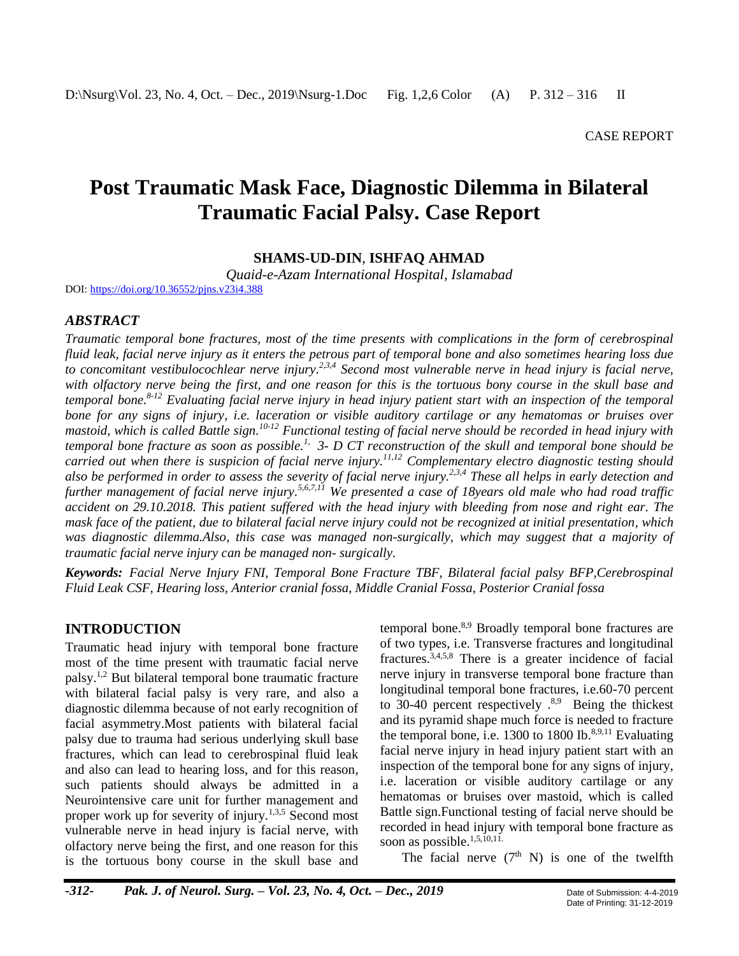# **Post Traumatic Mask Face, Diagnostic Dilemma in Bilateral Traumatic Facial Palsy. Case Report**

**SHAMS-UD-DIN**, **ISHFAQ AHMAD**

*Quaid-e-Azam International Hospital, Islamabad*

DOI[: https://doi.org/10.36552/pjns.v23i4.388](https://doi.org/10.36552/pjns.v23i4.388)

### *ABSTRACT*

*Traumatic temporal bone fractures, most of the time presents with complications in the form of cerebrospinal fluid leak, facial nerve injury as it enters the petrous part of temporal bone and also sometimes hearing loss due to concomitant vestibulocochlear nerve injury. 2,3,4 Second most vulnerable nerve in head injury is facial nerve, with olfactory nerve being the first, and one reason for this is the tortuous bony course in the skull base and temporal bone. 8-12 Evaluating facial nerve injury in head injury patient start with an inspection of the temporal bone for any signs of injury, i.e. laceration or visible auditory cartilage or any hematomas or bruises over mastoid, which is called Battle sign. 10-12 Functional testing of facial nerve should be recorded in head injury with temporal bone fracture as soon as possible. 1, 3- D CT reconstruction of the skull and temporal bone should be carried out when there is suspicion of facial nerve injury. 11,12 Complementary electro diagnostic testing should also be performed in order to assess the severity of facial nerve injury.2,3,4 These all helps in early detection and*  further management of facial nerve injury.<sup>5,6,7,11</sup> We presented a case of 18years old male who had road traffic *accident on 29.10.2018. This patient suffered with the head injury with bleeding from nose and right ear. The mask face of the patient, due to bilateral facial nerve injury could not be recognized at initial presentation, which was diagnostic dilemma.Also, this case was managed non-surgically, which may suggest that a majority of traumatic facial nerve injury can be managed non- surgically.*

*Keywords: Facial Nerve Injury FNI, Temporal Bone Fracture TBF, Bilateral facial palsy BFP,Cerebrospinal Fluid Leak CSF, Hearing loss, Anterior cranial fossa, Middle Cranial Fossa, Posterior Cranial fossa*

## **INTRODUCTION**

Traumatic head injury with temporal bone fracture most of the time present with traumatic facial nerve palsy. 1,2 But bilateral temporal bone traumatic fracture with bilateral facial palsy is very rare, and also a diagnostic dilemma because of not early recognition of facial asymmetry.Most patients with bilateral facial palsy due to trauma had serious underlying skull base fractures, which can lead to cerebrospinal fluid leak and also can lead to hearing loss, and for this reason, such patients should always be admitted in a Neurointensive care unit for further management and proper work up for severity of injury.<sup>1,3,5</sup> Second most vulnerable nerve in head injury is facial nerve, with olfactory nerve being the first, and one reason for this is the tortuous bony course in the skull base and

temporal bone. 8,9 Broadly temporal bone fractures are of two types, i.e. Transverse fractures and longitudinal fractures. 3,4,5,8 There is a greater incidence of facial nerve injury in transverse temporal bone fracture than longitudinal temporal bone fractures, i.e.60-70 percent to 30-40 percent respectively  $.^{8,9}$  Being the thickest and its pyramid shape much force is needed to fracture the temporal bone, i.e.  $1300$  to  $1800$  Ib.<sup>8,9,11</sup> Evaluating facial nerve injury in head injury patient start with an inspection of the temporal bone for any signs of injury, i.e. laceration or visible auditory cartilage or any hematomas or bruises over mastoid, which is called Battle sign.Functional testing of facial nerve should be recorded in head injury with temporal bone fracture as soon as possible.<sup>1,5,10,11.</sup>

The facial nerve  $(7<sup>th</sup> N)$  is one of the twelfth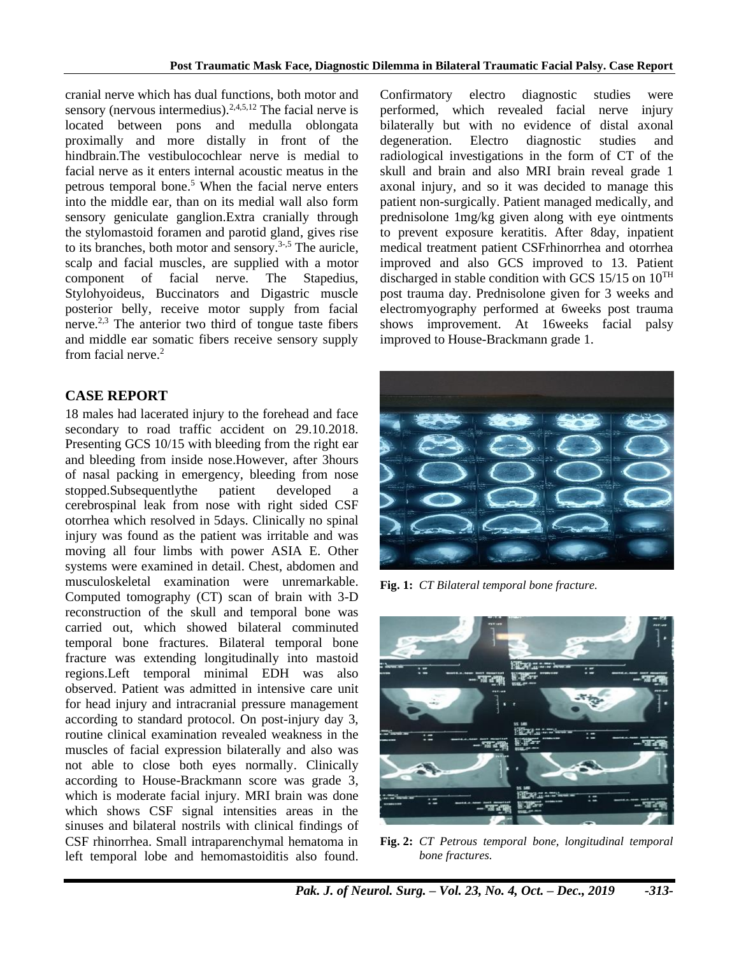cranial nerve which has dual functions, both motor and sensory (nervous intermedius).<sup>2,4,5,12</sup> The facial nerve is located between pons and medulla oblongata proximally and more distally in front of the hindbrain.The vestibulocochlear nerve is medial to facial nerve as it enters internal acoustic meatus in the petrous temporal bone. <sup>5</sup> When the facial nerve enters into the middle ear, than on its medial wall also form sensory geniculate ganglion.Extra cranially through the stylomastoid foramen and parotid gland, gives rise to its branches, both motor and sensory.<sup>3-,5</sup> The auricle, scalp and facial muscles, are supplied with a motor component of facial nerve. The Stapedius, Stylohyoideus, Buccinators and Digastric muscle posterior belly, receive motor supply from facial nerve. 2,3 The anterior two third of tongue taste fibers and middle ear somatic fibers receive sensory supply from facial nerve. 2

# **CASE REPORT**

18 males had lacerated injury to the forehead and face secondary to road traffic accident on 29.10.2018. Presenting GCS 10/15 with bleeding from the right ear and bleeding from inside nose.However, after 3hours of nasal packing in emergency, bleeding from nose stopped.Subsequentlythe patient developed a cerebrospinal leak from nose with right sided CSF otorrhea which resolved in 5days. Clinically no spinal injury was found as the patient was irritable and was moving all four limbs with power ASIA E. Other systems were examined in detail. Chest, abdomen and musculoskeletal examination were unremarkable. Computed tomography (CT) scan of brain with 3-D reconstruction of the skull and temporal bone was carried out, which showed bilateral comminuted temporal bone fractures. Bilateral temporal bone fracture was extending longitudinally into mastoid regions.Left temporal minimal EDH was also observed. Patient was admitted in intensive care unit for head injury and intracranial pressure management according to standard protocol. On post-injury day 3, routine clinical examination revealed weakness in the muscles of facial expression bilaterally and also was not able to close both eyes normally. Clinically according to House-Brackmann score was grade 3, which is moderate facial injury. MRI brain was done which shows CSF signal intensities areas in the sinuses and bilateral nostrils with clinical findings of CSF rhinorrhea. Small intraparenchymal hematoma in left temporal lobe and hemomastoiditis also found.

Confirmatory electro diagnostic studies were performed, which revealed facial nerve injury bilaterally but with no evidence of distal axonal degeneration. Electro diagnostic studies and radiological investigations in the form of CT of the skull and brain and also MRI brain reveal grade 1 axonal injury, and so it was decided to manage this patient non-surgically. Patient managed medically, and prednisolone 1mg/kg given along with eye ointments to prevent exposure keratitis. After 8day, inpatient medical treatment patient CSFrhinorrhea and otorrhea improved and also GCS improved to 13. Patient discharged in stable condition with GCS 15/15 on  $10^{TH}$ post trauma day. Prednisolone given for 3 weeks and electromyography performed at 6weeks post trauma shows improvement. At 16weeks facial palsy improved to House-Brackmann grade 1.



**Fig. 1:** *CT Bilateral temporal bone fracture.*



**Fig. 2:** *CT Petrous temporal bone, longitudinal temporal bone fractures.*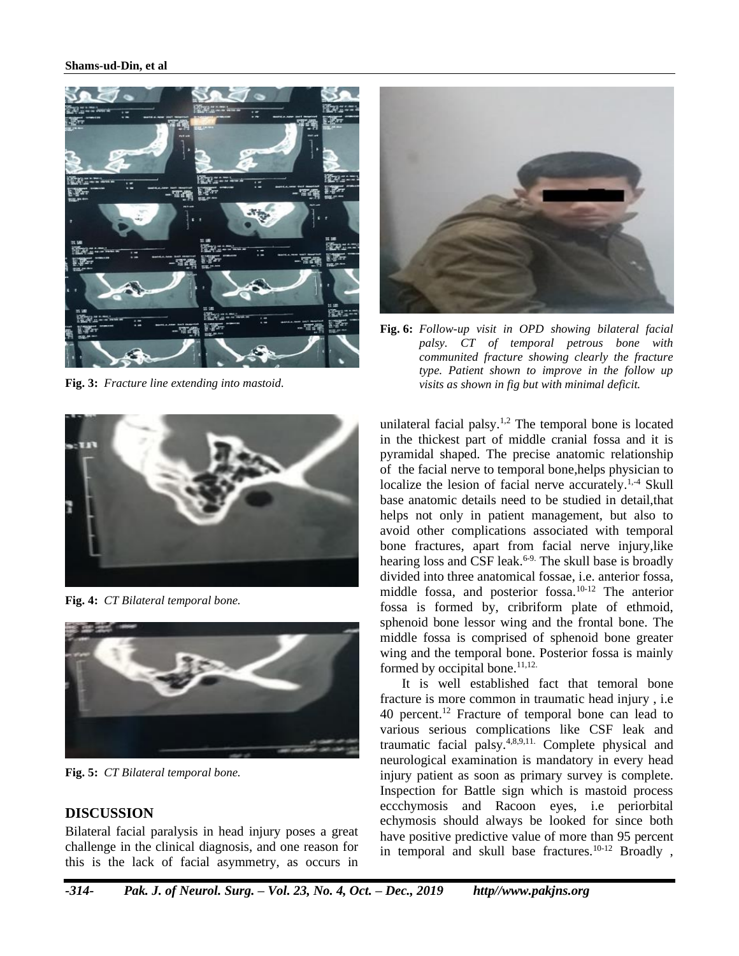#### **Shams-ud-Din, et al**



**Fig. 3:** *Fracture line extending into mastoid.*



**Fig. 4:** *CT Bilateral temporal bone.*



**Fig. 5:** *CT Bilateral temporal bone.*

# **DISCUSSION**

Bilateral facial paralysis in head injury poses a great challenge in the clinical diagnosis, and one reason for this is the lack of facial asymmetry, as occurs in



**Fig. 6:** *Follow-up visit in OPD showing bilateral facial palsy. CT of temporal petrous bone with communited fracture showing clearly the fracture type. Patient shown to improve in the follow up visits as shown in fig but with minimal deficit.*

unilateral facial palsy.1,2 The temporal bone is located in the thickest part of middle cranial fossa and it is pyramidal shaped. The precise anatomic relationship of the facial nerve to temporal bone,helps physician to localize the lesion of facial nerve accurately.<sup>1,4</sup> Skull base anatomic details need to be studied in detail,that helps not only in patient management, but also to avoid other complications associated with temporal bone fractures, apart from facial nerve injury,like hearing loss and CSF leak.<sup>6-9.</sup> The skull base is broadly divided into three anatomical fossae, i.e. anterior fossa, middle fossa, and posterior fossa.10-12 The anterior fossa is formed by, cribriform plate of ethmoid, sphenoid bone lessor wing and the frontal bone. The middle fossa is comprised of sphenoid bone greater wing and the temporal bone. Posterior fossa is mainly formed by occipital bone.<sup>11,12.</sup>

It is well established fact that temoral bone fracture is more common in traumatic head injury , i.e 40 percent.<sup>12</sup> Fracture of temporal bone can lead to various serious complications like CSF leak and traumatic facial palsy.4,8,9,11. Complete physical and neurological examination is mandatory in every head injury patient as soon as primary survey is complete. Inspection for Battle sign which is mastoid process eccchymosis and Racoon eyes, i.e periorbital echymosis should always be looked for since both have positive predictive value of more than 95 percent in temporal and skull base fractures.<sup>10-12</sup> Broadly,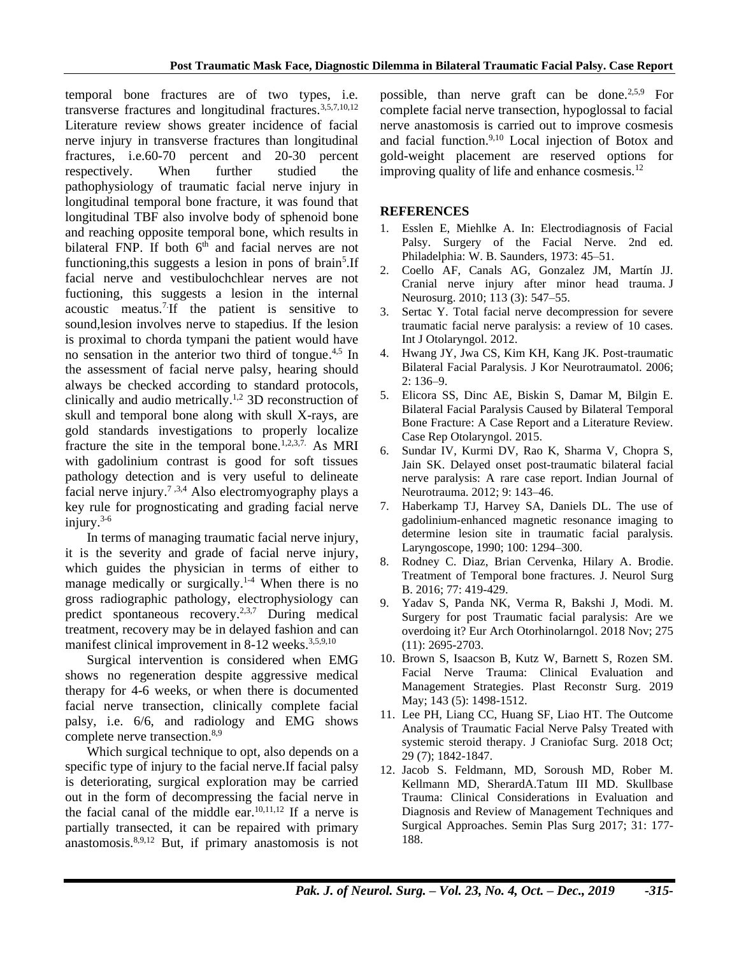temporal bone fractures are of two types, i.e. transverse fractures and longitudinal fractures.  $3,5,7,10,12$ Literature review shows greater incidence of facial nerve injury in transverse fractures than longitudinal fractures, i.e.60-70 percent and 20-30 percent respectively. When further studied the pathophysiology of traumatic facial nerve injury in longitudinal temporal bone fracture, it was found that longitudinal TBF also involve body of sphenoid bone and reaching opposite temporal bone, which results in bilateral FNP. If both  $6<sup>th</sup>$  and facial nerves are not functioning, this suggests a lesion in pons of brain<sup>5</sup>. If facial nerve and vestibulochchlear nerves are not fuctioning, this suggests a lesion in the internal acoustic meatus.7.If the patient is sensitive to sound,lesion involves nerve to stapedius. If the lesion is proximal to chorda tympani the patient would have no sensation in the anterior two third of tongue.<sup>4,5</sup> In the assessment of facial nerve palsy, hearing should always be checked according to standard protocols, clinically and audio metrically. 1,2 3D reconstruction of skull and temporal bone along with skull X-rays, are gold standards investigations to properly localize fracture the site in the temporal bone.<sup> $1,2,3,7$ </sup> As MRI with gadolinium contrast is good for soft tissues pathology detection and is very useful to delineate facial nerve injury.<sup>7,3,4</sup> Also electromyography plays a key rule for prognosticating and grading facial nerve injury. 3-6

In terms of managing traumatic facial nerve injury, it is the severity and grade of facial nerve injury, which guides the physician in terms of either to manage medically or surgically.<sup>1-4</sup> When there is no gross radiographic pathology, electrophysiology can predict spontaneous recovery.<sup>2,3,7</sup> During medical treatment, recovery may be in delayed fashion and can manifest clinical improvement in 8-12 weeks.<sup>3,5,9,10</sup>

Surgical intervention is considered when EMG shows no regeneration despite aggressive medical therapy for 4-6 weeks, or when there is documented facial nerve transection, clinically complete facial palsy, i.e. 6/6, and radiology and EMG shows complete nerve transection.<sup>8,9</sup>

Which surgical technique to opt, also depends on a specific type of injury to the facial nerve.If facial palsy is deteriorating, surgical exploration may be carried out in the form of decompressing the facial nerve in the facial canal of the middle ear. $10,11,12$  If a nerve is partially transected, it can be repaired with primary anastomosis.8,9,12 But, if primary anastomosis is not

possible, than nerve graft can be done.2,5,9 For complete facial nerve transection, hypoglossal to facial nerve anastomosis is carried out to improve cosmesis and facial function.9,10 Local injection of Botox and gold-weight placement are reserved options for improving quality of life and enhance cosmesis. $^{12}$ 

## **REFERENCES**

- 1. Esslen E, Miehlke A. In: Electrodiagnosis of Facial Palsy. Surgery of the Facial Nerve. 2nd ed. Philadelphia: W. B. Saunders, 1973: 45–51.
- 2. Coello AF, Canals AG, Gonzalez JM, Martín JJ. Cranial nerve injury after minor head trauma. J Neurosurg. 2010; 113 (3): 547–55.
- 3. Sertac Y. Total facial nerve decompression for severe traumatic facial nerve paralysis: a review of 10 cases. Int J Otolaryngol. 2012.
- 4. Hwang JY, Jwa CS, Kim KH, Kang JK. Post-traumatic Bilateral Facial Paralysis. J Kor Neurotraumatol. 2006; 2: 136–9.
- 5. Elicora SS, Dinc AE, Biskin S, Damar M, Bilgin E. Bilateral Facial Paralysis Caused by Bilateral Temporal Bone Fracture: A Case Report and a Literature Review. Case Rep Otolaryngol. 2015.
- 6. Sundar IV, Kurmi DV, Rao K, Sharma V, Chopra S, Jain SK. Delayed onset post-traumatic bilateral facial nerve paralysis: A rare case report. Indian Journal of Neurotrauma. 2012; 9: 143–46.
- 7. Haberkamp TJ, Harvey SA, Daniels DL. The use of gadolinium-enhanced magnetic resonance imaging to determine lesion site in traumatic facial paralysis. Laryngoscope, 1990; 100: 1294–300.
- 8. Rodney C. Diaz, Brian Cervenka, Hilary A. Brodie. Treatment of Temporal bone fractures. J. Neurol Surg B. 2016; 77: 419-429.
- 9. Yadav S, Panda NK, Verma R, Bakshi J, Modi. M. Surgery for post Traumatic facial paralysis: Are we overdoing it? Eur Arch Otorhinolarngol. 2018 Nov; 275 (11): 2695-2703.
- 10. Brown S, Isaacson B, Kutz W, Barnett S, Rozen SM. Facial Nerve Trauma: Clinical Evaluation and Management Strategies. Plast Reconstr Surg. 2019 May; 143 (5): 1498-1512.
- 11. Lee PH, Liang CC, Huang SF, Liao HT. The Outcome Analysis of Traumatic Facial Nerve Palsy Treated with systemic steroid therapy. J Craniofac Surg. 2018 Oct; 29 (7); 1842-1847.
- 12. Jacob S. Feldmann, MD, Soroush MD, Rober M. Kellmann MD, SherardA.Tatum III MD. Skullbase Trauma: Clinical Considerations in Evaluation and Diagnosis and Review of Management Techniques and Surgical Approaches. Semin Plas Surg 2017; 31: 177- 188.